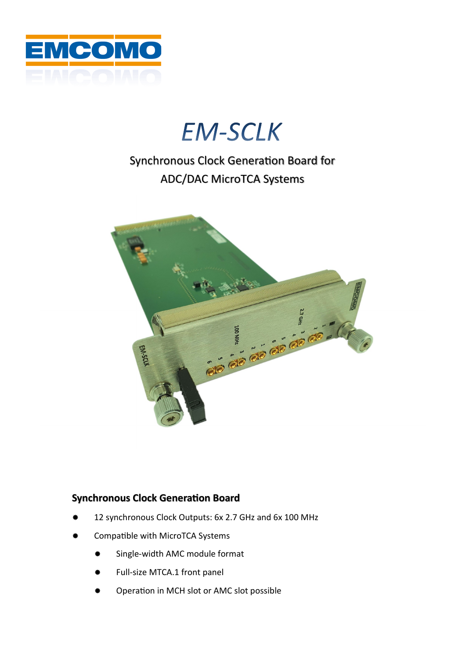

# **EM-SCLK**

### Synchronous Clock Generation Board for ADC/DAC MicroTCA Systems



#### **Synchronous Clock Generation Board**

- 12 synchronous Clock Outputs: 6x 2.7 GHz and 6x 100 MHz
- Compatible with MicroTCA Systems
	- Single-width AMC module format
	- Full-size MTCA.1 front panel
	- Operation in MCH slot or AMC slot possible